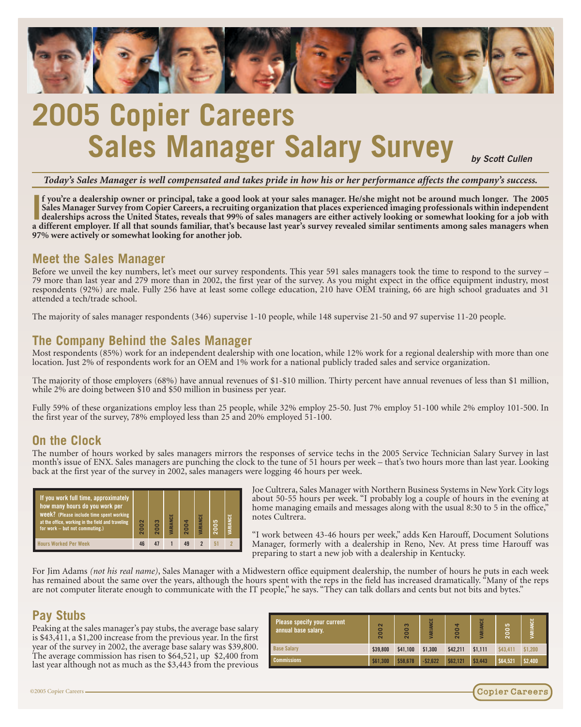

# **2005 Copier Careers Sales Manager Salary Survey** *by Scott Cullen*

*Today's Sales Manager is well compensated and takes pride in how his or her performance affects the company's success.*

I<sup>I</sup> you're a dealership owner or principal, take a good look at your sales manager. He/she might not be around much longer. The 2005 Sales Manager Survey from Copier Careers, a recruiting organization that places experien **f you're a dealership owner or principal, take a good look at your sales manager. He/she might not be around much longer. The 2005 Sales Manager Survey from Copier Careers, a recruiting organization that places experienced imaging professionals within independent dealerships across the United States, reveals that 99% of sales managers are either actively looking or somewhat looking for a job with 97% were actively or somewhat looking for another job.**

#### **Meet the Sales Manager**

Before we unveil the key numbers, let's meet our survey respondents. This year 591 sales managers took the time to respond to the survey – 79 more than last year and 279 more than in 2002, the first year of the survey. As respondents (92%) are male. Fully 256 have at least some college education, 210 have OEM training, 66 are high school graduates and 31 attended a tech/trade school.

The majority of sales manager respondents (346) supervise 1-10 people, while 148 supervise 21-50 and 97 supervise 11-20 people.

#### **The Company Behind the Sales Manager**

Most respondents (85%) work for an independent dealership with one location, while 12% work for a regional dealership with more than one location. Just 2% of respondents work for an OEM and 1% work for a national publicly traded sales and service organization.

The majority of those employers (68%) have annual revenues of \$1-\$10 million. Thirty percent have annual revenues of less than \$1 million, while 2% are doing between \$10 and \$50 million in business per year.

Fully 59% of these organizations employ less than 25 people, while 32% employ 25-50. Just 7% employ 51-100 while 2% employ 101-500. In the first year of the survey, 78% employed less than  $25$  and  $20\%$  employed  $5\hat{1}$ -100.

#### **On the Clock**

The number of hours worked by sales managers mirrors the responses of service techs in the 2005 Service Technician Salary Survey in last month's issue of ENX. Sales managers are punching the clock to the tune of 51 hours per week – that's two hours more than last year. Looking back at the first year of the survey in 2002, sales managers were logging 46 hours per week.



Joe Cultrera, Sales Manager with Northern Business Systems in New York City logs about 50-55 hours per week. "I probably log a couple of hours in the evening at home managing emails and messages along with the usual 8:30 to 5 in the office," notes Cultrera.

"I work between 43-46 hours per week," adds Ken Harouff, Document Solutions Manager, formerly with a dealership in Reno, Nev. At press time Harouff was preparing to start a new job with a dealership in Kentucky.

For Jim Adams *(not his real name)*, Sales Manager with a Midwestern office equipment dealership, the number of hours he puts in each week has remained about the same over the years, although the hours spent with the reps in the field has increased dramatically. "Many of the reps are not computer literate enough to communicate with the IT people," he says. "They can talk dollars and cents but not bits and bytes."

### **Pay Stubs**

Peaking at the sales manager's pay stubs, the average base salary is \$43,411, a \$1,200 increase from the previous year. In the first year of the survey in 2002, the average base salary was \$39,800. The average commission has risen to \$64,521, up \$2,400 from last year although not as much as the \$3,443 from the previous

| Please specify your current<br>annual base salary. | $\sim$<br>200 | $\sim$<br>$\circ$<br>ō<br>$\sim$ | <b>VARIANCE</b> | $\blacktriangleleft$<br>8<br>$\sim$ | <b>NGE</b><br><b>RIA</b> | S<br>200 | VARIANCE |
|----------------------------------------------------|---------------|----------------------------------|-----------------|-------------------------------------|--------------------------|----------|----------|
| <b>Base Salary</b>                                 | \$39,800      | \$41,100                         | \$1,300         | \$42,211                            | \$1.111                  | \$43,411 | \$1.200  |
| <b>Commissions:</b>                                | \$61,300      | \$58.678                         | $-$2.622$       | \$62,121                            | \$3.443                  | \$64.521 | \$2,400  |

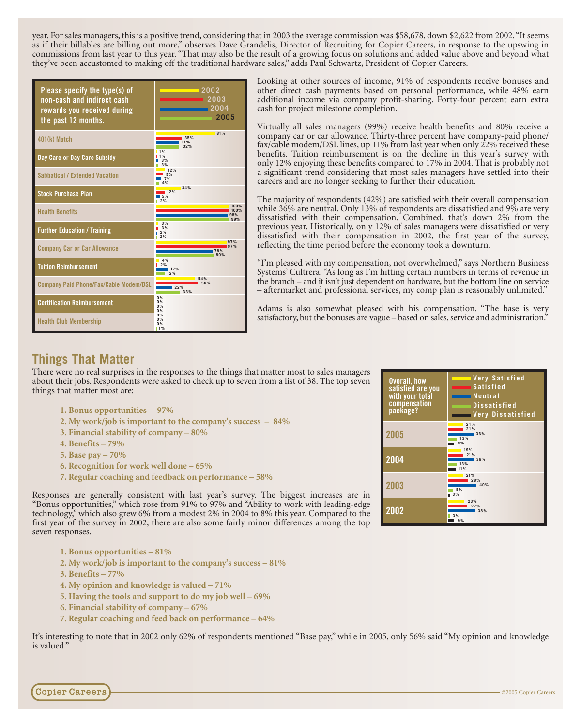year. For sales managers, this is a positive trend, considering that in 2003 the average commission was \$58,678, down \$2,622 from 2002."It seems as if their billables are billing out more," observes Dave Grandelis, Director of Recruiting for Copier Careers, in response to the upswing in commissions from last year to this year. "That may also be the result of a growing focus on solutions and added value above and beyond what they've been accustomed to making off the traditional hardware sales," adds Paul Schwartz, President of Copier Careers.

| Please specify the type(s) of<br>non-cash and indirect cash<br>rewards you received during<br>the past 12 months. | 2002<br>2003<br>2004<br>2005 |
|-------------------------------------------------------------------------------------------------------------------|------------------------------|
| 401(k) Match                                                                                                      | 81%<br>35%<br>31%<br>32%     |
| Day Care or Day Care Subsidy                                                                                      | 1%<br>1%<br>3%<br>3%         |
| <b>Sabbatical / Extended Vacation</b>                                                                             | 12%<br>9%<br>7%<br>1%        |
| <b>Stock Purchase Plan</b>                                                                                        | 34%<br>12%<br>5%<br>2%       |
| <b>Health Benefits</b>                                                                                            | 100%<br>100%<br>98%<br>99%   |
| <b>Further Education / Training</b>                                                                               | 3%<br>3%<br>2%               |
| <b>Company Car or Car Allowance</b>                                                                               | 97%<br>97%<br>78%<br>80%     |
| <b>Tuition Reimbursement</b>                                                                                      | 4%<br>2%<br>17%<br>12%       |
| <b>Company Paid Phone/Fax/Cable Modem/DSL</b>                                                                     | 54%<br>22%<br>33%            |
| <b>Certification Reimbursement</b>                                                                                | 0%<br>0%<br>0%<br>0%         |
| <b>Health Club Membership</b>                                                                                     | 0%<br>0%<br>0%<br>11%        |

Looking at other sources of income, 91% of respondents receive bonuses and other direct cash payments based on personal performance, while 48% earn additional income via company profit-sharing. Forty-four percent earn extra cash for project milestone completion.

Virtually all sales managers (99%) receive health benefits and 80% receive a company car or car allowance. Thirty-three percent have company-paid phone/ fax/cable modem/DSL lines, up 11% from last year when only 22% received these benefits. Tuition reimbursement is on the decline in this year's survey with only 12% enjoying these benefits compared to 17% in 2004. That is probably not a significant trend considering that most sales managers have settled into their careers and are no longer seeking to further their education.

The majority of respondents (42%) are satisfied with their overall compensation while 36% are neutral. Only 13% of respondents are dissatisfied and 9% are very dissatisfied with their compensation. Combined, that's down 2% from the previous year. Historically, only 12% of sales managers were dissatisfied or very dissatisfied with their compensation in 2002, the first year of the survey, reflecting the time period before the economy took a downturn.

"I'm pleased with my compensation, not overwhelmed," says Northern Business Systems' Cultrera. "As long as I'm hitting certain numbers in terms of revenue in the branch – and it isn't just dependent on hardware, but the bottom line on service – aftermarket and professional services, my comp plan is reasonably unlimited."

Adams is also somewhat pleased with his compensation. "The base is very satisfactory, but the bonuses are vague – based on sales, service and administration."

## **Things That Matter**

There were no real surprises in the responses to the things that matter most to sales managers about their jobs. Respondents were asked to check up to seven from a list of 38. The top seven things that matter most are:

- **1. Bonus opportunities 97%**
- **2. My work/job is important to the company's success 84%**
- **3. Financial stability of company 80%**
- **4. Benefits 79%**
- **5. Base pay 70%**
- **6. Recognition for work well done 65%**
- **7. Regular coaching and feedback on performance 58%**

Responses are generally consistent with last year's survey. The biggest increases are in "Bonus opportunities," which rose from 91% to 97% and "Ability to work with leading-edge technology," which also grew 6% from a modest 2% in 2004 to 8% this year. Compared to the first year of the survey in 2002, there are also some fairly minor differences among the top seven responses.

- **1. Bonus opportunities 81%**
- **2. My work/job is important to the company's success 81%**
- **3. Benefits 77%**
- **4. My opinion and knowledge is valued 71%**
- **5. Having the tools and support to do my job well 69%**
- **6. Financial stability of company 67%**
- **7. Regular coaching and feed back on performance 64%**

It's interesting to note that in 2002 only 62% of respondents mentioned "Base pay," while in 2005, only 56% said "My opinion and knowledge is valued."

| <b>Overall, how</b><br>satisfied are you<br>with your total<br>compensation<br>package? | <b>Wery Satisfied</b><br>Satisfied<br><b>Neutral</b><br><b>Dissatisfied</b><br><b>Very Dissatisfied</b> |
|-----------------------------------------------------------------------------------------|---------------------------------------------------------------------------------------------------------|
| 2005                                                                                    | 21%<br>21%<br>36%<br>13%<br>9%                                                                          |
| 2004                                                                                    | 19%<br>21%<br>36%<br>13%<br>11%                                                                         |
| 2003                                                                                    | 21%<br>28%<br>40%<br>8%<br>3%                                                                           |
| 2002                                                                                    | 23%<br>27%<br>38%<br>3%<br>9%                                                                           |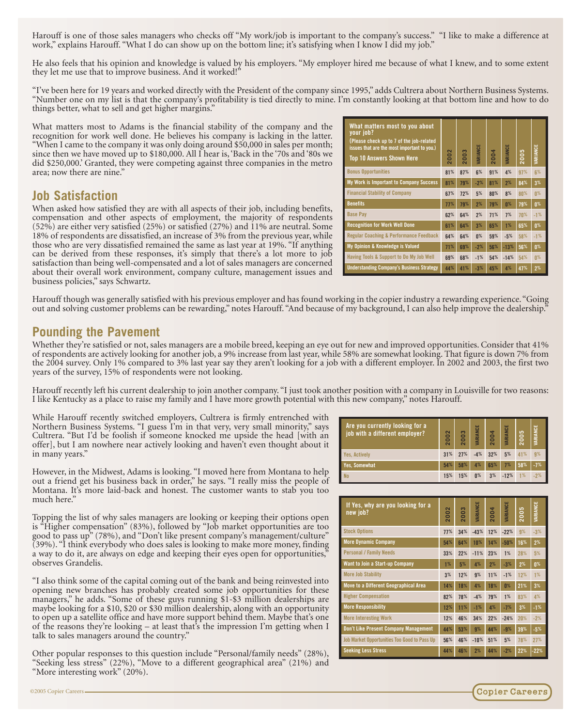Harouff is one of those sales managers who checks off "My work/job is important to the company's success." "I like to make a difference at work," explains Harouff. "What I do can show up on the bottom line; it's satisfying when I know I did my job."

He also feels that his opinion and knowledge is valued by his employers. "My employer hired me because of what I knew, and to some extent they let me use that to improve business. And it worked!"

"I've been here for 19 years and worked directly with the President of the company since 1995," adds Cultrera about Northern Business Systems. "Number one on my list is that the company's profitability is tied directly to mine. I'm constantly looking at that bottom line and how to do things better, what to sell and get higher margins."

What matters most to Adams is the financial stability of the company and the recognition for work well done. He believes his company is lacking in the latter. "When I came to the company it was only doing around \$50,000 in sales per month; since then we have moved up to \$180,000. All I hear is, 'Back in the '70s and '80s we did \$250,000.' Granted, they were competing against three companies in the metro area; now there are nine."

#### **Job Satisfaction**

When asked how satisfied they are with all aspects of their job, including benefits, compensation and other aspects of employment, the majority of respondents  $(52\%)$  are either very satisfied  $(25\%)$  or satisfied  $(27\%)$  and  $11\%$  are neutral. Some 18% of respondents are dissatisfied, an increase of 3% from the previous year, while those who are very dissatisfied remained the same as last year at 19%. "If anything can be derived from these responses, it's simply that there's a lot more to job satisfaction than being well-compensated and a lot of sales managers are concerned about their overall work environment, company culture, management issues and business policies," says Schwartz.

| What matters most to you about<br>your job?<br>(Please check up to 7 of the job-related<br>issues that are the most important to you.)<br><b>Top 10 Answers Shown Here</b> | $\overline{\mathbf{c}}$<br>8 | $\sim$<br>200 | VARIANCE | 4<br>$\dot{5}$ | VARIANCE | <b>SC</b><br>200 | VARIANCE       |
|----------------------------------------------------------------------------------------------------------------------------------------------------------------------------|------------------------------|---------------|----------|----------------|----------|------------------|----------------|
| <b>Bonus Opportunities</b>                                                                                                                                                 | 81%                          | 87%           | 6%       | 91%            | 4%       | 97%              | 6%             |
| My Work is Important to Company Success                                                                                                                                    | 81%                          | 79%           | $-2%$    | 81%            | 2%       | 84%              | 3%             |
| <b>Financial Stability of Company</b>                                                                                                                                      | 67%                          | 72%           | 5%       | 80%            | 8%       | 80%              | $0\%$          |
| <b>Benefits</b>                                                                                                                                                            | 77%                          | 79%           | 2%       | 79%            | n%       | 79%              | 0 <sup>%</sup> |
| <b>Base Pay</b>                                                                                                                                                            | 62%                          | 64%           | 2%       | 71%            | 7%       | 70%              | $-1%$          |
| <b>Recognition for Work Well Done</b>                                                                                                                                      | 61%                          | 64%           | 3%       | 65%            | 1%       | 65%              | 0 <sup>%</sup> |
| <b>Regular Coaching &amp; Performance Feedback</b>                                                                                                                         | 64%                          | 64%           | $0\%$    | 59%            | $-5%$    | 58%              | $-1%$          |
| My Opinion & Knowledge is Valued                                                                                                                                           | 71%                          | 69%           | $-2%$    | 56%            | $-13%$   | 56%              | 0 <sup>%</sup> |
| Having Tools & Support to Do My Job Well                                                                                                                                   | 69%                          | 68%           | $-1%$    | 54%            | $-14%$   | 54%              | $0\%$          |
| <b>Understanding Company's Business Strategy</b>                                                                                                                           | 44%                          | 41%           | $-3%$    | 45%            | 4%       | 47%              | 2%             |

Harouff though was generally satisfied with his previous employer and has found working in the copier industry a rewarding experience."Going out and solving customer problems can be rewarding," notes Harouff. "And because of my background, I can also help improve the dealership."

#### **Pounding the Pavement**

Whether they're satisfied or not, sales managers are a mobile breed, keeping an eye out for new and improved opportunities. Consider that 41% of respondents are actively looking for another job, a 9% increase from last year, while 58% are somewhat looking. That figure is down 7% from the 2004 survey. Only 1% compared to 3% last year say they aren't looking for a job with a different employer. In 2002 and 2003, the first two years of the survey, 15% of respondents were not looking.

Harouff recently left his current dealership to join another company. "I just took another position with a company in Louisville for two reasons: I like Kentucky as a place to raise my family and I have more growth potential with this new company," notes Harouff.

While Harouff recently switched employers, Cultrera is firmly entrenched with Northern Business Systems. "I guess I'm in that very, very small minority," says Cultrera. "But I'd be foolish if someone knocked me upside the head [with and any solution] Cultumeral and any solution and any solution and any solution and any solution and any solution and any solution and solution and offer], but I am nowhere near actively looking and haven't even thought about in many years."

| iys<br>an<br>t it | <b>RIC YOU CUITERLY FOUNTILE FOR 4</b><br>job with a different employer? | $\tilde{a}$<br>$\bullet$<br>$\bar{\mathbf{N}}$ | ឌ<br>$\overline{20}$ | VARIANCE       | $\overline{a}$<br>$\overline{20}$ | VARIANCE | 2005 | <b>VARIANCE</b> |
|-------------------|--------------------------------------------------------------------------|------------------------------------------------|----------------------|----------------|-----------------------------------|----------|------|-----------------|
|                   | <b>Yes. Actively</b>                                                     | 31%                                            | 27%                  | $-4%$          | 32%                               | 5%       | 41%  | 9%              |
|                   | Yes, Somewhat                                                            | 54%                                            | 58%                  | 4%             | 65%                               | 7%       | 58%  | $-7%$           |
| elp<br>of         | <b>No</b>                                                                | 15%                                            | 15%                  | 0 <sup>%</sup> | 3%                                | $-12%$   | 1%   | $-2%$           |
| $\Omega$          |                                                                          |                                                |                      |                |                                   |          |      |                 |

**Are you currently looking for a**

However, in the Midwest, Adams is looking. "I moved here from Montana to he out a friend get his business back in order," he says. "I really miss the people Montana. It's more laid-back and honest. The customer wants to stab you too much here."

Topping the list of why sales managers are looking or keeping their options open is "Higher compensation" (83%), followed by "Job market opportunities are too good to pass up" (78%), and "Don't like present company's management/culture" (39%). "I think everybody who does sales is looking to make more money, finding a way to do it, are always on edge and keeping their eyes open for opportunities, observes Grandelis.

"I also think some of the capital coming out of the bank and being reinvested into opening new branches has probably created some job opportunities for these managers," he adds. "Some of these guys running \$1-\$3 million dealerships are maybe looking for a \$10, \$20 or \$30 million dealership, along with an opportunity to open up a satellite office and have more support behind them. Maybe that's one of the reasons they're looking – at least that's the impression I'm getting when I talk to sales managers around the country."

Other popular responses to this question include "Personal/family needs" (28%), "Seeking less stress" (22%), "Move to a different geographical area" (21%) and "More interesting work" (20%).

| If Yes, why are you looking for a<br>new job?       | $\mathbf{\Omega}$<br>8<br>$\bar{\mathbf{c}}$ | S<br>ë<br>$\bar{\mathbf{v}}$ | VARIANCE        | 2004 | VARIANCE       | Ю<br>200 | <b>VARIANCE</b> |
|-----------------------------------------------------|----------------------------------------------|------------------------------|-----------------|------|----------------|----------|-----------------|
| <b>Stock Options</b>                                | 77%                                          | 34%                          | $-43%$          | 12%  | $-22%$         | 9%       | $-3%$           |
| <b>More Dynamic Company</b>                         | 54%                                          | 64%                          | 10 <sup>%</sup> | 14%  | $-50%$         | 16%      | 2%              |
| <b>Personal / Family Needs</b>                      | 33%                                          | 22%                          | $-11%$          | 23%  | 1%             | 28%      | 5%              |
| <b>Want to Join a Start-up Company</b>              | 1%                                           | 5%                           | 4%              | 2%   | $-3%$          | 2%       | 0 <sup>%</sup>  |
| <b>More Job Stability</b>                           | 3%                                           | 12%                          | 9%              | 11%  | $-1%$          | 12%      | 1%              |
| Move to a Different Geographical Area               | 14%                                          | 18%                          | 4%              | 18%  | 0 <sup>%</sup> | 21%      | 3%              |
| <b>Higher Compensation</b>                          | 82%                                          | 78%                          | $-4%$           | 79%  | 1%             | 83%      | 4%              |
| <b>More Responsibility</b>                          | 12%                                          | 11%                          | $-1%$           | 4%   | $-7%$          | 3%       | $-1%$           |
| <b>More Interesting Work</b>                        | 12%                                          | 46%                          | 34%             | 22%  | $-24%$         | 20%      | $-2%$           |
| <b>Don't Like Present Company Management</b>        | 44%                                          | 53%                          | 9%              | 44%  | $-9%$          | 39%      | $-5%$           |
| <b>Job Market Opportunities Too Good to Pass Up</b> | 56%                                          | 46%                          | $-10%$          | 51%  | 5%             | 78%      | 27%             |
| <b>Seeking Less Stress</b>                          | 44%                                          | 46%                          | 2%              | 44%  | $-2%$          | 22%      | $-22%$          |